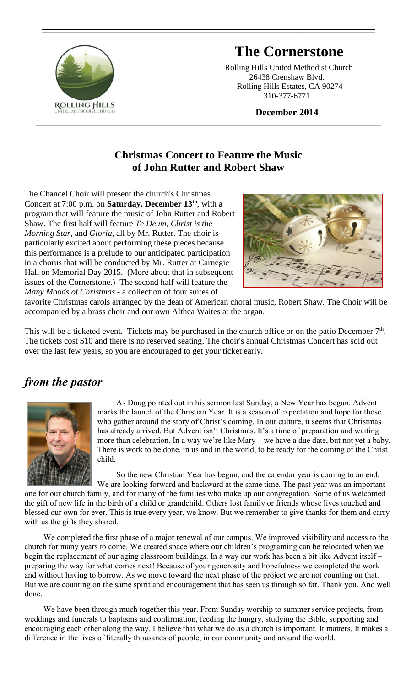

# **The Cornerstone**

 Rolling Hills United Methodist Church 26438 Crenshaw Blvd. Rolling Hills Estates, CA 90274 310-377-6771

 **December 2014**

#### **Christmas Concert to Feature the Music of John Rutter and Robert Shaw**

**\_\_\_\_\_\_\_\_\_\_\_\_\_\_\_\_\_\_\_\_\_\_\_\_\_\_\_\_\_\_\_\_\_\_\_\_\_\_\_\_\_\_\_\_\_\_\_\_\_\_\_\_\_\_\_\_\_\_\_\_\_\_\_\_\_\_\_\_\_\_\_\_\_\_\_\_\_\_\_\_\_\_\_\_\_\_\_\_\_\_\_\_**

**\_\_\_\_\_\_\_\_\_\_\_\_\_\_\_\_\_\_\_\_\_\_\_\_\_\_\_\_\_\_\_\_\_\_\_\_\_\_\_\_\_\_\_\_\_\_\_\_\_\_\_\_\_\_\_\_\_\_\_\_\_\_\_\_\_\_\_\_\_\_\_\_\_\_\_\_\_\_\_\_\_\_\_\_\_\_\_\_\_**

The Chancel Choir will present the church's Christmas Concert at 7:00 p.m. on **Saturday, December 13th**, with a program that will feature the music of John Rutter and Robert Shaw. The first half will feature *Te Deum*, *Christ is the Morning Star*, and *Gloria*, all by Mr. Rutter. The choir is particularly excited about performing these pieces because this performance is a prelude to our anticipated participation in a chorus that will be conducted by Mr. Rutter at Carnegie Hall on Memorial Day 2015. (More about that in subsequent issues of the Cornerstone.) The second half will feature the *Many Moods of Christmas* - a collection of four suites of



favorite Christmas carols arranged by the dean of American choral music, Robert Shaw. The Choir will be accompanied by a brass choir and our own Althea Waites at the organ.

This will be a ticketed event. Tickets may be purchased in the church office or on the patio December 7<sup>th</sup>. The tickets cost \$10 and there is no reserved seating. The choir's annual Christmas Concert has sold out over the last few years, so you are encouraged to get your ticket early.

# *from the pastor*



As Doug pointed out in his sermon last Sunday, a New Year has begun. Advent marks the launch of the Christian Year. It is a season of expectation and hope for those who gather around the story of Christ's coming. In our culture, it seems that Christmas has already arrived. But Advent isn't Christmas. It's a time of preparation and waiting more than celebration. In a way we're like Mary – we have a due date, but not yet a baby. There is work to be done, in us and in the world, to be ready for the coming of the Christ child.

So the new Christian Year has begun, and the calendar year is coming to an end. We are looking forward and backward at the same time. The past year was an important

one for our church family, and for many of the families who make up our congregation. Some of us welcomed the gift of new life in the birth of a child or grandchild. Others lost family or friends whose lives touched and blessed our own for ever. This is true every year, we know. But we remember to give thanks for them and carry with us the gifts they shared.

We completed the first phase of a major renewal of our campus. We improved visibility and access to the church for many years to come. We created space where our children's programing can be relocated when we begin the replacement of our aging classroom buildings. In a way our work has been a bit like Advent itself – preparing the way for what comes next! Because of your generosity and hopefulness we completed the work and without having to borrow. As we move toward the next phase of the project we are not counting on that. But we are counting on the same spirit and encouragement that has seen us through so far. Thank you. And well done.

We have been through much together this year. From Sunday worship to summer service projects, from weddings and funerals to baptisms and confirmation, feeding the hungry, studying the Bible, supporting and encouraging each other along the way. I believe that what we do as a church is important. It matters. It makes a difference in the lives of literally thousands of people, in our community and around the world.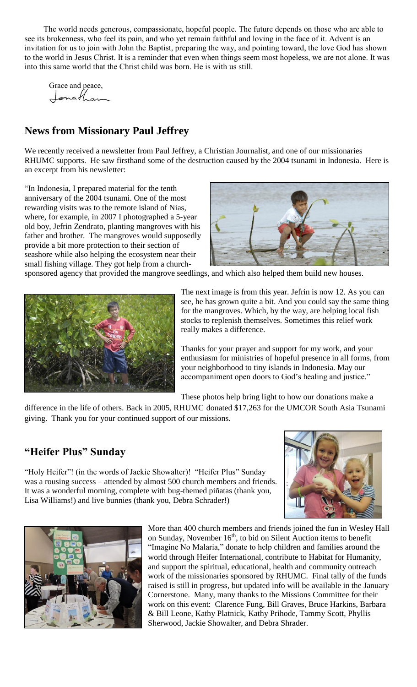The world needs generous, compassionate, hopeful people. The future depends on those who are able to see its brokenness, who feel its pain, and who yet remain faithful and loving in the face of it. Advent is an invitation for us to join with John the Baptist, preparing the way, and pointing toward, the love God has shown to the world in Jesus Christ. It is a reminder that even when things seem most hopeless, we are not alone. It was into this same world that the Christ child was born. He is with us still.

Grace and peace, Jonathan

#### **News from Missionary Paul Jeffrey**

We recently received a newsletter from Paul Jeffrey, a Christian Journalist, and one of our missionaries RHUMC supports. He saw firsthand some of the destruction caused by the 2004 tsunami in Indonesia. Here is an excerpt from his newsletter:

"In Indonesia, I prepared material for the tenth anniversary of the 2004 tsunami. One of the most rewarding visits was to the remote island of Nias, where, for example, in 2007 I photographed a 5-year old boy, Jefrin Zendrato, planting mangroves with his father and brother. The mangroves would supposedly provide a bit more protection to their section of seashore while also helping the ecosystem near their small fishing village. They got help from a church-



sponsored agency that provided the mangrove seedlings, and which also helped them build new houses.



The next image is from this year. Jefrin is now 12. As you can see, he has grown quite a bit. And you could say the same thing for the mangroves. Which, by the way, are helping local fish stocks to replenish themselves. Sometimes this relief work really makes a difference.

Thanks for your prayer and support for my work, and your enthusiasm for ministries of hopeful presence in all forms, from your neighborhood to tiny islands in Indonesia. May our accompaniment open doors to God's healing and justice."

These photos help bring light to how our donations make a

difference in the life of others. Back in 2005, RHUMC donated \$17,263 for the UMCOR South Asia Tsunami giving. Thank you for your continued support of our missions.

#### **"Heifer Plus" Sunday**

"Holy Heifer"! (in the words of Jackie Showalter)! "Heifer Plus" Sunday was a rousing success – attended by almost 500 church members and friends. It was a wonderful morning, complete with bug-themed piñatas (thank you, Lisa Williams!) and live bunnies (thank you, Debra Schrader!)





More than 400 church members and friends joined the fun in Wesley Hall on Sunday, November 16<sup>th</sup>, to bid on Silent Auction items to benefit "Imagine No Malaria," donate to help children and families around the world through Heifer International, contribute to Habitat for Humanity, and support the spiritual, educational, health and community outreach work of the missionaries sponsored by RHUMC. Final tally of the funds raised is still in progress, but updated info will be available in the January Cornerstone. Many, many thanks to the Missions Committee for their work on this event: Clarence Fung, Bill Graves, Bruce Harkins, Barbara & Bill Leone, Kathy Platnick, Kathy Prihode, Tammy Scott, Phyllis Sherwood, Jackie Showalter, and Debra Shrader.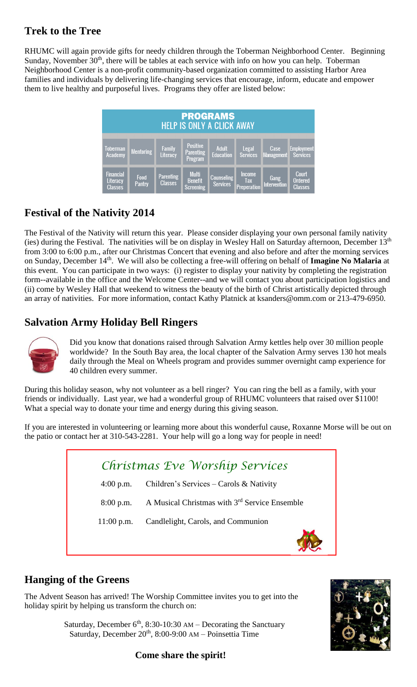#### **Trek to the Tree**

RHUMC will again provide gifts for needy children through the Toberman Neighborhood Center. Beginning Sunday, November 30<sup>th</sup>, there will be tables at each service with info on how you can help. Toberman Neighborhood Center is a non-profit community-based organization committed to assisting Harbor Area families and individuals by delivering life-changing services that encourage, inform, educate and empower them to live healthy and purposeful lives. Programs they offer are listed below:

| <b>PROGRAMS</b><br><b>HELP IS ONLY A CLICK AWAY</b> |                  |                                    |                                                       |                               |                                     |                           |                                           |  |
|-----------------------------------------------------|------------------|------------------------------------|-------------------------------------------------------|-------------------------------|-------------------------------------|---------------------------|-------------------------------------------|--|
| Toberman<br>Academy                                 | <b>Mentoring</b> | <b>Family</b><br>Literacy          | <b>Positive</b><br><b>Parenting</b><br><b>Program</b> | Adult<br>Education            | <b>Legal</b><br><b>Services</b>     | Case<br><b>Management</b> | <b>Employment</b><br><b>Services</b>      |  |
| <b>Financial</b><br>Literacy<br><b>Classes</b>      | Food<br>Pantry   | <b>Parenting</b><br><b>Classes</b> | <b>Multi</b><br><b>Benefit</b><br><b>Screening</b>    | Counseling<br><b>Services</b> | <b>Income</b><br>Tax<br>Preperation | Gang<br>Intervention      | Court<br><b>Ordered</b><br><b>Classes</b> |  |

# **Festival of the Nativity 2014**

The Festival of the Nativity will return this year. Please consider displaying your own personal family nativity (ies) during the Festival. The nativities will be on display in Wesley Hall on Saturday afternoon, December 13th from 3:00 to 6:00 p.m., after our Christmas Concert that evening and also before and after the morning services on Sunday, December 14<sup>th</sup>. We will also be collecting a free-will offering on behalf of **Imagine No Malaria** at this event. You can participate in two ways: (i) register to display your nativity by completing the registration form--available in the office and the Welcome Center--and we will contact you about participation logistics and (ii) come by Wesley Hall that weekend to witness the beauty of the birth of Christ artistically depicted through an array of nativities. For more information, contact Kathy Platnick at [ksanders@omm.com](mailto:ksanders@omm.com) or 213-479-6950.

# **Salvation Army Holiday Bell Ringers**



Did you know that donations raised through Salvation Army kettles help over 30 million people worldwide? In the South Bay area, the local chapter of the Salvation Army serves 130 hot meals daily through the Meal on Wheels program and provides summer overnight camp experience for 40 children every summer.

During this holiday season, why not volunteer as a bell ringer? You can ring the bell as a family, with your friends or individually. Last year, we had a wonderful group of RHUMC volunteers that raised over \$1100! What a special way to donate your time and energy during this giving season.

If you are interested in volunteering or learning more about this wonderful cause, Roxanne Morse will be out on the patio or contact her at 310-543-2281. Your help will go a long way for people in need!

| Christmas Eve Worship Services |                                                           |  |  |  |  |  |  |
|--------------------------------|-----------------------------------------------------------|--|--|--|--|--|--|
| $4:00$ p.m.                    | Children's Services – Carols & Nativity                   |  |  |  |  |  |  |
| $8:00$ p.m.                    | A Musical Christmas with 3 <sup>rd</sup> Service Ensemble |  |  |  |  |  |  |
| $11:00$ p.m.                   | Candlelight, Carols, and Communion                        |  |  |  |  |  |  |
|                                |                                                           |  |  |  |  |  |  |

## **Hanging of the Greens**

The Advent Season has arrived! The Worship Committee invites you to get into the holiday spirit by helping us transform the church on:

> Saturday, December  $6<sup>th</sup>$ , 8:30-10:30 AM – Decorating the Sanctuary Saturday, December  $20<sup>th</sup>$ , 8:00-9:00 AM – Poinsettia Time



#### **Come share the spirit!**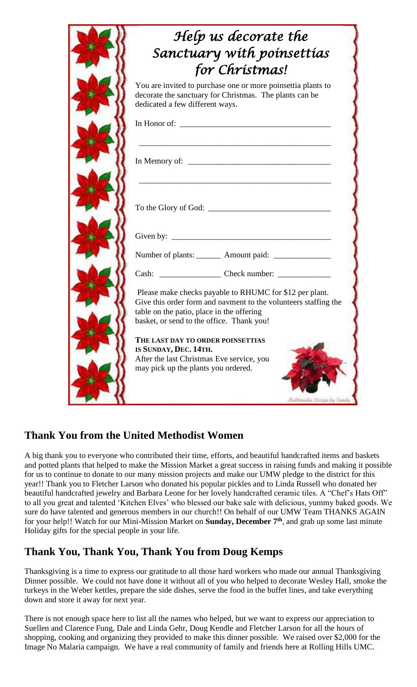| for Christmas!<br>You are invited to purchase one or more poinsettia plants to<br>decorate the sanctuary for Christmas. The plants can be<br>dedicated a few different ways.                                         |
|----------------------------------------------------------------------------------------------------------------------------------------------------------------------------------------------------------------------|
|                                                                                                                                                                                                                      |
|                                                                                                                                                                                                                      |
|                                                                                                                                                                                                                      |
|                                                                                                                                                                                                                      |
| To the Glory of God:                                                                                                                                                                                                 |
| Given by: $\qquad \qquad$                                                                                                                                                                                            |
| Number of plants: ________ Amount paid: _______________                                                                                                                                                              |
|                                                                                                                                                                                                                      |
| Please make checks payable to RHUMC for \$12 per plant.<br>Give this order form and navment to the volunteers staffing the<br>table on the patio, place in the offering<br>basket, or send to the office. Thank you! |
| THE LAST DAY TO ORDER POINSETTIAS                                                                                                                                                                                    |
|                                                                                                                                                                                                                      |

## **Thank You from the United Methodist Women**

A big thank you to everyone who contributed their time, efforts, and beautiful handcrafted items and baskets and potted plants that helped to make the Mission Market a great success in raising funds and making it possible for us to continue to donate to our many mission projects and make our UMW pledge to the district for this year!! Thank you to Fletcher Larson who donated his popular pickles and to Linda Russell who donated her beautiful handcrafted jewelry and Barbara Leone for her lovely handcrafted ceramic tiles. A "Chef's Hats Off" to all you great and talented 'Kitchen Elves' who blessed our bake sale with delicious, yummy baked goods. We sure do have talented and generous members in our church!! On behalf of our UMW Team THANKS AGAIN for your help!! Watch for our Mini-Mission Market on **Sunday, December 7th**, and grab up some last minute Holiday gifts for the special people in your life.

## **Thank You, Thank You, Thank You from Doug Kemps**

Thanksgiving is a time to express our gratitude to all those hard workers who made our annual Thanksgiving Dinner possible. We could not have done it without all of you who helped to decorate Wesley Hall, smoke the turkeys in the Weber kettles, prepare the side dishes, serve the food in the buffet lines, and take everything down and store it away for next year.

There is not enough space here to list all the names who helped, but we want to express our appreciation to Suellen and Clarence Fung, Dale and Linda Gehr, Doug Kendle and Fletcher Larson for all the hours of shopping, cooking and organizing they provided to make this dinner possible. We raised over \$2,000 for the Image No Malaria campaign. We have a real community of family and friends here at Rolling Hills UMC.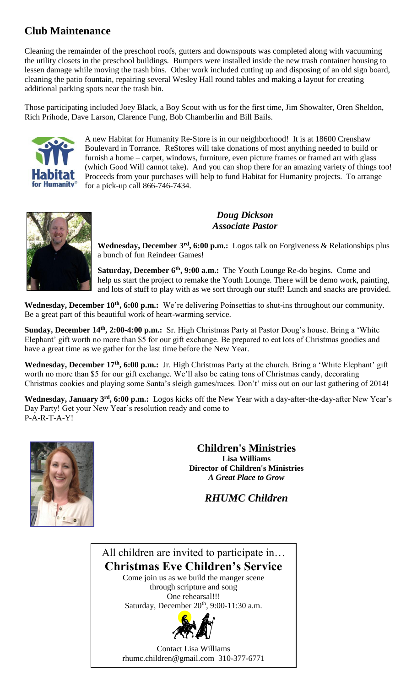#### **Club Maintenance**

Cleaning the remainder of the preschool roofs, gutters and downspouts was completed along with vacuuming the utility closets in the preschool buildings. Bumpers were installed inside the new trash container housing to lessen damage while moving the trash bins. Other work included cutting up and disposing of an old sign board, cleaning the patio fountain, repairing several Wesley Hall round tables and making a layout for creating additional parking spots near the trash bin.

Those participating included Joey Black, a Boy Scout with us for the first time, Jim Showalter, Oren Sheldon, Rich Prihode, Dave Larson, Clarence Fung, Bob Chamberlin and Bill Bails.



A new Habitat for Humanity Re-Store is in our neighborhood! It is at 18600 Crenshaw Boulevard in Torrance. ReStores will take donations of most anything needed to build or furnish a home – carpet, windows, furniture, even picture frames or framed art with glass (which Good Will cannot take). And you can shop there for an amazing variety of things too! Proceeds from your purchases will help to fund Habitat for Humanity projects. To arrange for a pick-up call 866-746-7434.



*Doug Dickson Associate Pastor*

**Wednesday, December 3rd, 6:00 p.m.:** Logos talk on Forgiveness & Relationships plus a bunch of fun Reindeer Games!

**Saturday, December 6th, 9:00 a.m.:** The Youth Lounge Re-do begins. Come and help us start the project to remake the Youth Lounge. There will be demo work, painting, and lots of stuff to play with as we sort through our stuff! Lunch and snacks are provided.

**Wednesday, December 10th, 6:00 p.m.:** We're delivering Poinsettias to shut-ins throughout our community. Be a great part of this beautiful work of heart-warming service.

**Sunday, December 14th, 2:00-4:00 p.m.:** Sr. High Christmas Party at Pastor Doug's house. Bring a 'White Elephant' gift worth no more than \$5 for our gift exchange. Be prepared to eat lots of Christmas goodies and have a great time as we gather for the last time before the New Year.

**Wednesday, December 17th, 6:00 p.m.:** Jr. High Christmas Party at the church. Bring a 'White Elephant' gift worth no more than \$5 for our gift exchange. We'll also be eating tons of Christmas candy, decorating Christmas cookies and playing some Santa's sleigh games/races. Don't' miss out on our last gathering of 2014!

**Wednesday, January 3rd, 6:00 p.m.:** Logos kicks off the New Year with a day-after-the-day-after New Year's Day Party! Get your New Year's resolution ready and come to P-A-R-T-A-Y!



**Children's Ministries Lisa Williams Director of Children's Ministries** *A Great Place to Grow*

*RHUMC Children*

All children are invited to participate in… **Christmas Eve Children's Service** Come join us as we build the manger scene

through scripture and song One rehearsal!!! Saturday, December 20<sup>th</sup>, 9:00-11:30 a.m.



Contact Lisa Williams [rhumc.children@gmail.com](mailto:rhumc.children@gmail.com) 310-377-6771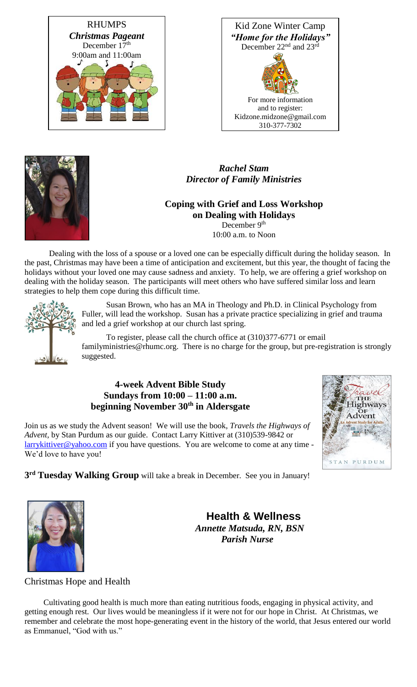





*Rachel Stam Director of Family Ministries*

#### **Coping with Grief and Loss Workshop on Dealing with Holidays** December 9<sup>th</sup>

10:00 a.m. to Noon

Dealing with the loss of a spouse or a loved one can be especially difficult during the holiday season. In the past, Christmas may have been a time of anticipation and excitement, but this year, the thought of facing the holidays without your loved one may cause sadness and anxiety. To help, we are offering a grief workshop on dealing with the holiday season. The participants will meet others who have suffered similar loss and learn strategies to help them cope during this difficult time.



Susan Brown, who has an MA in Theology and Ph.D. in Clinical Psychology from Fuller, will lead the workshop. Susan has a private practice specializing in grief and trauma and led a grief workshop at our church last spring.

To register, please call the church office at (310)377-6771 or email [familyministries@rhumc.org.](mailto:familyministries@rhumc.org) There is no charge for the group, but pre-registration is strongly suggested.

#### **4-week Advent Bible Study Sundays from 10:00 – 11:00 a.m. beginning November 30th in Aldersgate**

Join us as we study the Advent season! We will use the book, *Travels the Highways of Advent,* by Stan Purdum as our guide. Contact Larry Kittiver at (310)539-9842 or [larrykittiver@yahoo.com](mailto:larrykittiver@yahoo.com) if you have questions. You are welcome to come at any time -We'd love to have you!



**3 rd Tuesday Walking Group** will take a break in December. See you in January!



**Health & Wellness**  *Annette Matsuda, RN, BSN Parish Nurse*

Christmas Hope and Health

Cultivating good health is much more than eating nutritious foods, engaging in physical activity, and getting enough rest. Our lives would be meaningless if it were not for our hope in Christ. At Christmas, we remember and celebrate the most hope-generating event in the history of the world, that Jesus entered our world as Emmanuel, "God with us."